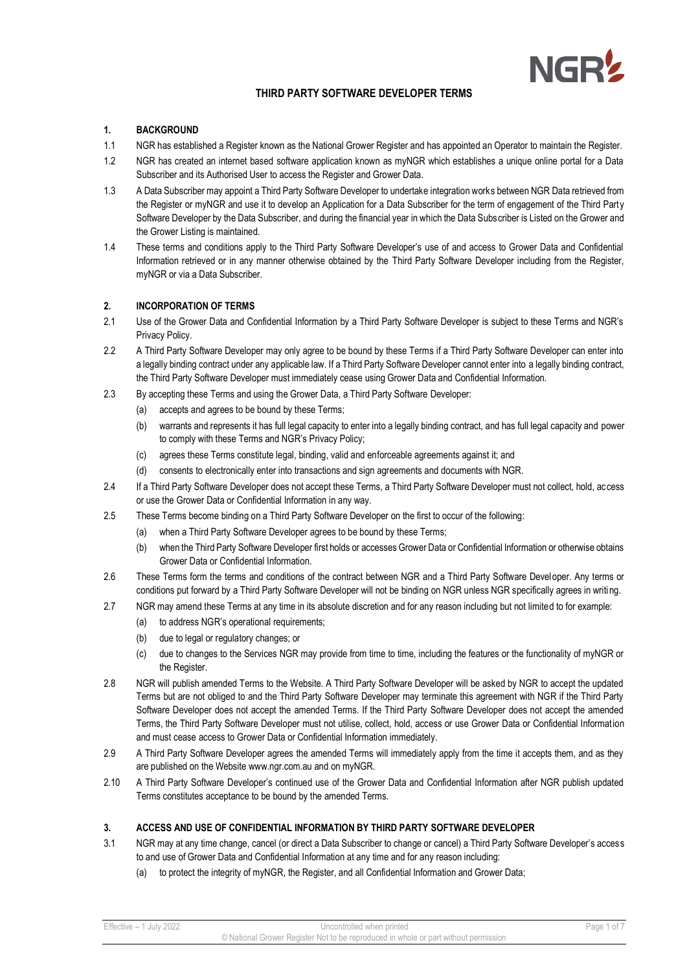

# **THIRD PARTY SOFTWARE DEVELOPER TERMS**

# **1. BACKGROUND**

- 1.1 NGR has established a Register known as the National Grower Register and has appointed an Operator to maintain the Register.
- 1.2 NGR has created an internet based software application known as myNGR which establishes a unique online portal for a Data Subscriber and its Authorised User to access the Register and Grower Data.
- 1.3 A Data Subscriber may appoint a Third Party Software Developer to undertake integration works between NGR Data retrieved from the Register or myNGR and use it to develop an Application for a Data Subscriber for the term of engagement of the Third Part y Software Developer by the Data Subscriber, and during the financial year in which the Data Subscriber is Listed on the Grower and the Grower Listing is maintained.
- 1.4 These terms and conditions apply to the Third Party Software Developer's use of and access to Grower Data and Confidential Information retrieved or in any manner otherwise obtained by the Third Party Software Developer including from the Register, myNGR or via a Data Subscriber.

## **2. INCORPORATION OF TERMS**

- 2.1 Use of the Grower Data and Confidential Information by a Third Party Software Developer is subject to these Terms and NGR's Privacy Policy.
- 2.2 A Third Party Software Developer may only agree to be bound by these Terms if a Third Party Software Developer can enter into a legally binding contract under any applicable law. If a Third Party Software Developer cannot enter into a legally binding contract, the Third Party Software Developer must immediately cease using Grower Data and Confidential Information.
- 2.3 By accepting these Terms and using the Grower Data, a Third Party Software Developer:
	- (a) accepts and agrees to be bound by these Terms;
	- (b) warrants and represents it has full legal capacity to enter into a legally binding contract, and has full legal capacity and power to comply with these Terms and NGR's Privacy Policy;
	- (c) agrees these Terms constitute legal, binding, valid and enforceable agreements against it; and
	- (d) consents to electronically enter into transactions and sign agreements and documents with NGR.
- 2.4 If a Third Party Software Developer does not accept these Terms, a Third Party Software Developer must not collect, hold, access or use the Grower Data or Confidential Information in any way.
- 2.5 These Terms become binding on a Third Party Software Developer on the first to occur of the following:
	- (a) when a Third Party Software Developer agrees to be bound by these Terms;
	- (b) when the Third Party Software Developer first holds or accesses Grower Data or Confidential Information or otherwise obtains Grower Data or Confidential Information.
- 2.6 These Terms form the terms and conditions of the contract between NGR and a Third Party Software Developer. Any terms or conditions put forward by a Third Party Software Developer will not be binding on NGR unless NGR specifically agrees in writing.
- 2.7 NGR may amend these Terms at any time in its absolute discretion and for any reason including but not limited to for example:
	- (a) to address NGR's operational requirements;
	- (b) due to legal or regulatory changes; or
	- (c) due to changes to the Services NGR may provide from time to time, including the features or the functionality of myNGR or the Register.
- 2.8 NGR will publish amended Terms to the Website. A Third Party Software Developer will be asked by NGR to accept the updated Terms but are not obliged to and the Third Party Software Developer may terminate this agreement with NGR if the Third Party Software Developer does not accept the amended Terms. If the Third Party Software Developer does not accept the amended Terms, the Third Party Software Developer must not utilise, collect, hold, access or use Grower Data or Confidential Information and must cease access to Grower Data or Confidential Information immediately.
- 2.9 A Third Party Software Developer agrees the amended Terms will immediately apply from the time it accepts them, and as they are published on the Website www.ngr.com.au and on myNGR.
- 2.10 A Third Party Software Developer's continued use of the Grower Data and Confidential Information after NGR publish updated Terms constitutes acceptance to be bound by the amended Terms.

### **3. ACCESS AND USE OF CONFIDENTIAL INFORMATION BY THIRD PARTY SOFTWARE DEVELOPER**

- 3.1 NGR may at any time change, cancel (or direct a Data Subscriber to change or cancel) a Third Party Software Developer's access to and use of Grower Data and Confidential Information at any time and for any reason including:
	- (a) to protect the integrity of myNGR, the Register, and all Confidential Information and Grower Data;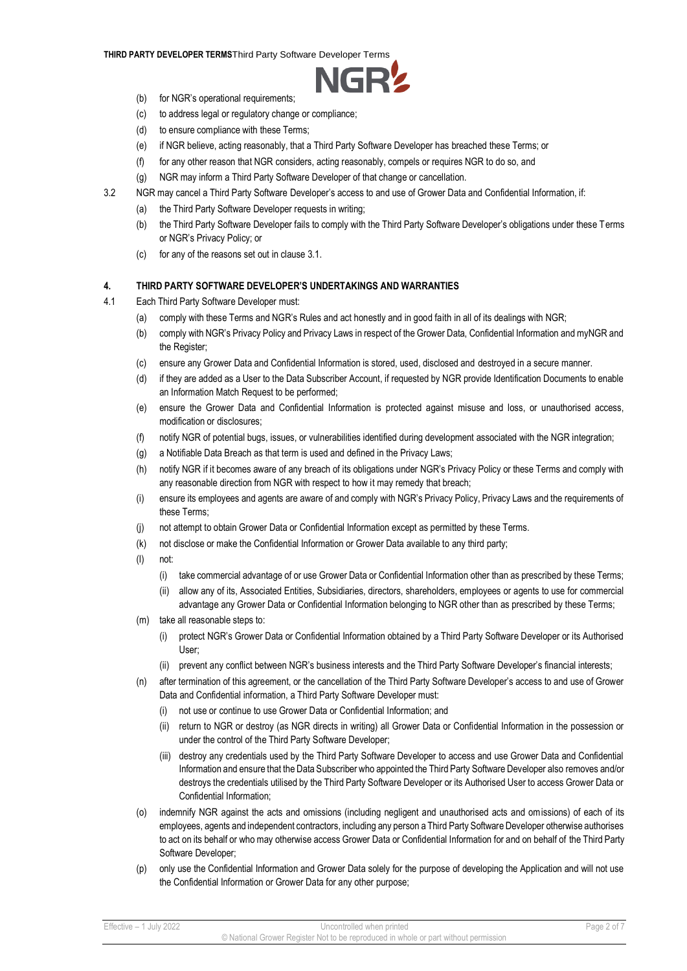#### **THIRD PARTY DEVELOPER TERMS**Third Party Software Developer Terms



- (b) for NGR's operational requirements;
- (c) to address legal or regulatory change or compliance;
- (d) to ensure compliance with these Terms;
- (e) if NGR believe, acting reasonably, that a Third Party Software Developer has breached these Terms; or
- (f) for any other reason that NGR considers, acting reasonably, compels or requires NGR to do so, and
- (g) NGR may inform a Third Party Software Developer of that change or cancellation.
- 3.2 NGR may cancel a Third Party Software Developer's access to and use of Grower Data and Confidential Information, if:
	- (a) the Third Party Software Developer requests in writing;
	- (b) the Third Party Software Developer fails to comply with the Third Party Software Developer's obligations under these Terms or NGR's Privacy Policy; or
	- (c) for any of the reasons set out in clause 3.1.

## **4. THIRD PARTY SOFTWARE DEVELOPER'S UNDERTAKINGS AND WARRANTIES**

- 4.1 Each Third Party Software Developer must:
	- (a) comply with these Terms and NGR's Rules and act honestly and in good faith in all of its dealings with NGR;
	- (b) comply with NGR's Privacy Policy and Privacy Laws in respect of the Grower Data, Confidential Information and myNGR and the Register;
	- (c) ensure any Grower Data and Confidential Information is stored, used, disclosed and destroyed in a secure manner.
	- (d) if they are added as a User to the Data Subscriber Account, if requested by NGR provide Identification Documents to enable an Information Match Request to be performed;
	- (e) ensure the Grower Data and Confidential Information is protected against misuse and loss, or unauthorised access, modification or disclosures;
	- (f) notify NGR of potential bugs, issues, or vulnerabilities identified during development associated with the NGR integration;
	- (g) a Notifiable Data Breach as that term is used and defined in the Privacy Laws;
	- (h) notify NGR if it becomes aware of any breach of its obligations under NGR's Privacy Policy or these Terms and comply with any reasonable direction from NGR with respect to how it may remedy that breach;
	- (i) ensure its employees and agents are aware of and comply with NGR's Privacy Policy, Privacy Laws and the requirements of these Terms;
	- (j) not attempt to obtain Grower Data or Confidential Information except as permitted by these Terms.
	- (k) not disclose or make the Confidential Information or Grower Data available to any third party;
	- (l) not:
		- (i) take commercial advantage of or use Grower Data or Confidential Information other than as prescribed by these Terms;
		- (ii) allow any of its, Associated Entities, Subsidiaries, directors, shareholders, employees or agents to use for commercial advantage any Grower Data or Confidential Information belonging to NGR other than as prescribed by these Terms;
	- (m) take all reasonable steps to:
		- (i) protect NGR's Grower Data or Confidential Information obtained by a Third Party Software Developer or its Authorised User;
		- (ii) prevent any conflict between NGR's business interests and the Third Party Software Developer's financial interests;
	- (n) after termination of this agreement, or the cancellation of the Third Party Software Developer's access to and use of Grower Data and Confidential information, a Third Party Software Developer must:
		- (i) not use or continue to use Grower Data or Confidential Information; and
		- (ii) return to NGR or destroy (as NGR directs in writing) all Grower Data or Confidential Information in the possession or under the control of the Third Party Software Developer;
		- (iii) destroy any credentials used by the Third Party Software Developer to access and use Grower Data and Confidential Information and ensure that the Data Subscriber who appointed the Third Party Software Developer also removes and/or destroys the credentials utilised by the Third Party Software Developer or its Authorised User to access Grower Data or Confidential Information;
	- (o) indemnify NGR against the acts and omissions (including negligent and unauthorised acts and omissions) of each of its employees, agents and independent contractors, including any person a Third Party Software Developer otherwise authorises to act on its behalf or who may otherwise access Grower Data or Confidential Information for and on behalf of the Third Party Software Developer;
	- (p) only use the Confidential Information and Grower Data solely for the purpose of developing the Application and will not use the Confidential Information or Grower Data for any other purpose;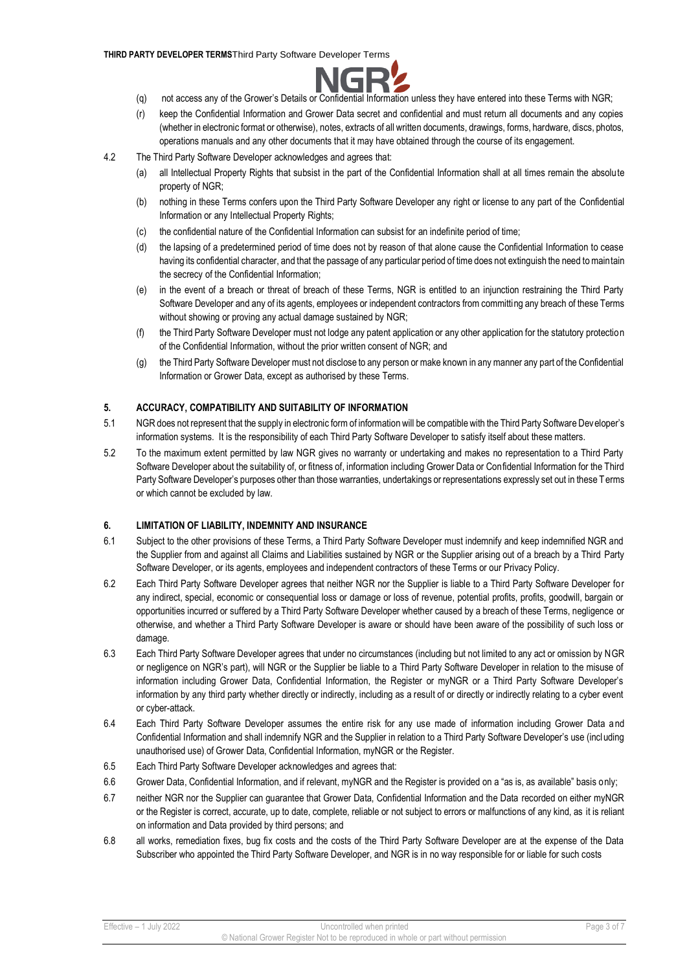#### **THIRD PARTY DEVELOPER TERMS**Third Party Software Developer Terms



- (q) not access any of the Grower's Details or Confidential Information unless they have entered into these Terms with NGR;
- (r) keep the Confidential Information and Grower Data secret and confidential and must return all documents and any copies (whether in electronic format or otherwise), notes, extracts of all written documents, drawings, forms, hardware, discs, photos, operations manuals and any other documents that it may have obtained through the course of its engagement.
- 4.2 The Third Party Software Developer acknowledges and agrees that:
	- (a) all Intellectual Property Rights that subsist in the part of the Confidential Information shall at all times remain the absolute property of NGR;
	- (b) nothing in these Terms confers upon the Third Party Software Developer any right or license to any part of the Confidential Information or any Intellectual Property Rights;
	- (c) the confidential nature of the Confidential Information can subsist for an indefinite period of time;
	- (d) the lapsing of a predetermined period of time does not by reason of that alone cause the Confidential Information to cease having its confidential character, and that the passage of any particular period of time does not extinguish the need to maintain the secrecy of the Confidential Information;
	- (e) in the event of a breach or threat of breach of these Terms, NGR is entitled to an injunction restraining the Third Party Software Developer and any of its agents, employees or independent contractors from committing any breach of these Terms without showing or proving any actual damage sustained by NGR;
	- (f) the Third Party Software Developer must not lodge any patent application or any other application for the statutory protection of the Confidential Information, without the prior written consent of NGR; and
	- (g) the Third Party Software Developer must not disclose to any person or make known in any manner any part of the Confidential Information or Grower Data, except as authorised by these Terms.

### **5. ACCURACY, COMPATIBILITY AND SUITABILITY OF INFORMATION**

- 5.1 NGR does not represent that the supply in electronic form of information will be compatible with the Third Party Software Developer's information systems. It is the responsibility of each Third Party Software Developer to satisfy itself about these matters.
- 5.2 To the maximum extent permitted by law NGR gives no warranty or undertaking and makes no representation to a Third Party Software Developer about the suitability of, or fitness of, information including Grower Data or Confidential Information for the Third Party Software Developer's purposes other than those warranties, undertakings or representations expressly set out in these Terms or which cannot be excluded by law.

## **6. LIMITATION OF LIABILITY, INDEMNITY AND INSURANCE**

- 6.1 Subject to the other provisions of these Terms, a Third Party Software Developer must indemnify and keep indemnified NGR and the Supplier from and against all Claims and Liabilities sustained by NGR or the Supplier arising out of a breach by a Third Party Software Developer, or its agents, employees and independent contractors of these Terms or our Privacy Policy.
- 6.2 Each Third Party Software Developer agrees that neither NGR nor the Supplier is liable to a Third Party Software Developer for any indirect, special, economic or consequential loss or damage or loss of revenue, potential profits, profits, goodwill, bargain or opportunities incurred or suffered by a Third Party Software Developer whether caused by a breach of these Terms, negligence or otherwise, and whether a Third Party Software Developer is aware or should have been aware of the possibility of such loss or damage.
- 6.3 Each Third Party Software Developer agrees that under no circumstances (including but not limited to any act or omission by NGR or negligence on NGR's part), will NGR or the Supplier be liable to a Third Party Software Developer in relation to the misuse of information including Grower Data, Confidential Information, the Register or myNGR or a Third Party Software Developer's information by any third party whether directly or indirectly, including as a result of or directly or indirectly relating to a cyber event or cyber-attack.
- 6.4 Each Third Party Software Developer assumes the entire risk for any use made of information including Grower Data a nd Confidential Information and shall indemnify NGR and the Supplier in relation to a Third Party Software Developer's use (including unauthorised use) of Grower Data, Confidential Information, myNGR or the Register.
- 6.5 Each Third Party Software Developer acknowledges and agrees that:
- 6.6 Grower Data, Confidential Information, and if relevant, myNGR and the Register is provided on a "as is, as available" basis only;
- 6.7 neither NGR nor the Supplier can guarantee that Grower Data, Confidential Information and the Data recorded on either myNGR or the Register is correct, accurate, up to date, complete, reliable or not subject to errors or malfunctions of any kind, as it is reliant on information and Data provided by third persons; and
- 6.8 all works, remediation fixes, bug fix costs and the costs of the Third Party Software Developer are at the expense of the Data Subscriber who appointed the Third Party Software Developer, and NGR is in no way responsible for or liable for such costs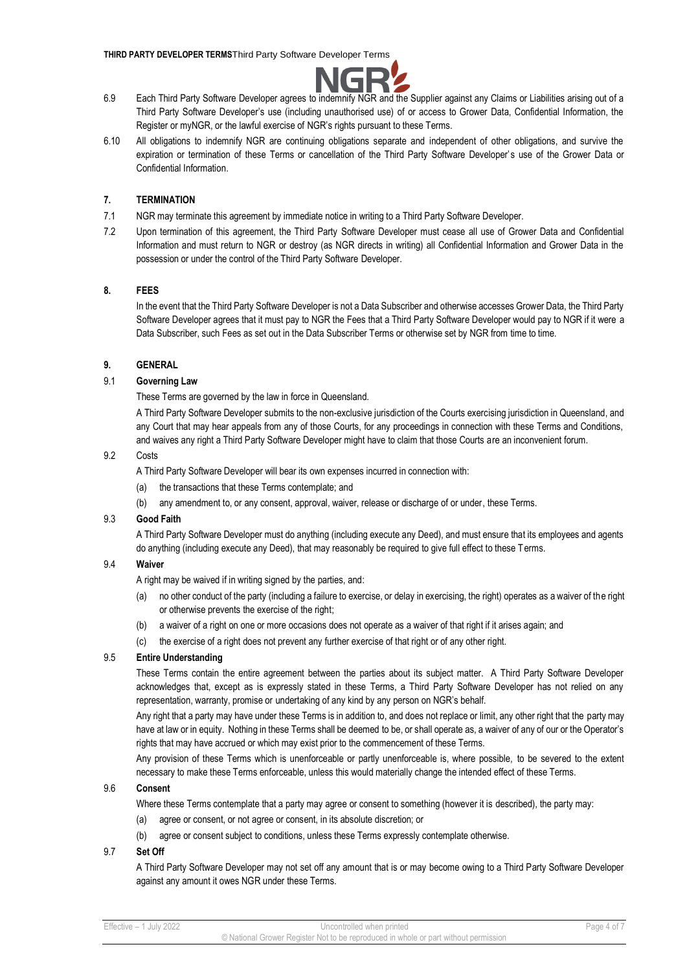

- 6.9 Each Third Party Software Developer agrees to indemnify NGR and the Supplier against any Claims or Liabilities arising out of a Third Party Software Developer's use (including unauthorised use) of or access to Grower Data, Confidential Information, the Register or myNGR, or the lawful exercise of NGR's rights pursuant to these Terms.
- 6.10 All obligations to indemnify NGR are continuing obligations separate and independent of other obligations, and survive the expiration or termination of these Terms or cancellation of the Third Party Software Developer's use of the Grower Data or Confidential Information.

# **7. TERMINATION**

- 7.1 NGR may terminate this agreement by immediate notice in writing to a Third Party Software Developer.
- 7.2 Upon termination of this agreement, the Third Party Software Developer must cease all use of Grower Data and Confidential Information and must return to NGR or destroy (as NGR directs in writing) all Confidential Information and Grower Data in the possession or under the control of the Third Party Software Developer.

### **8. FEES**

In the event that the Third Party Software Developer is not a Data Subscriber and otherwise accesses Grower Data, the Third Party Software Developer agrees that it must pay to NGR the Fees that a Third Party Software Developer would pay to NGR if it were a Data Subscriber, such Fees as set out in the Data Subscriber Terms or otherwise set by NGR from time to time.

## **9. GENERAL**

# 9.1 **Governing Law**

These Terms are governed by the law in force in Queensland.

A Third Party Software Developer submits to the non-exclusive jurisdiction of the Courts exercising jurisdiction in Queensland, and any Court that may hear appeals from any of those Courts, for any proceedings in connection with these Terms and Conditions, and waives any right a Third Party Software Developer might have to claim that those Courts are an inconvenient forum.

### 9.2 Costs

A Third Party Software Developer will bear its own expenses incurred in connection with:

- (a) the transactions that these Terms contemplate; and
- (b) any amendment to, or any consent, approval, waiver, release or discharge of or under, these Terms.

### 9.3 **Good Faith**

A Third Party Software Developer must do anything (including execute any Deed), and must ensure that its employees and agents do anything (including execute any Deed), that may reasonably be required to give full effect to these Terms.

# 9.4 **Waiver**

A right may be waived if in writing signed by the parties, and:

- (a) no other conduct of the party (including a failure to exercise, or delay in exercising, the right) operates as a waiver of the right or otherwise prevents the exercise of the right;
- (b) a waiver of a right on one or more occasions does not operate as a waiver of that right if it arises again; and
- (c) the exercise of a right does not prevent any further exercise of that right or of any other right.

# 9.5 **Entire Understanding**

These Terms contain the entire agreement between the parties about its subject matter. A Third Party Software Developer acknowledges that, except as is expressly stated in these Terms, a Third Party Software Developer has not relied on any representation, warranty, promise or undertaking of any kind by any person on NGR's behalf.

Any right that a party may have under these Terms is in addition to, and does not replace or limit, any other right that the party may have at law or in equity. Nothing in these Terms shall be deemed to be, or shall operate as, a waiver of any of our or the Operator's rights that may have accrued or which may exist prior to the commencement of these Terms.

Any provision of these Terms which is unenforceable or partly unenforceable is, where possible, to be severed to the extent necessary to make these Terms enforceable, unless this would materially change the intended effect of these Terms.

# 9.6 **Consent**

Where these Terms contemplate that a party may agree or consent to something (however it is described), the party may:

- (a) agree or consent, or not agree or consent, in its absolute discretion; or
- (b) agree or consent subject to conditions, unless these Terms expressly contemplate otherwise.

### 9.7 **Set Off**

A Third Party Software Developer may not set off any amount that is or may become owing to a Third Party Software Developer against any amount it owes NGR under these Terms.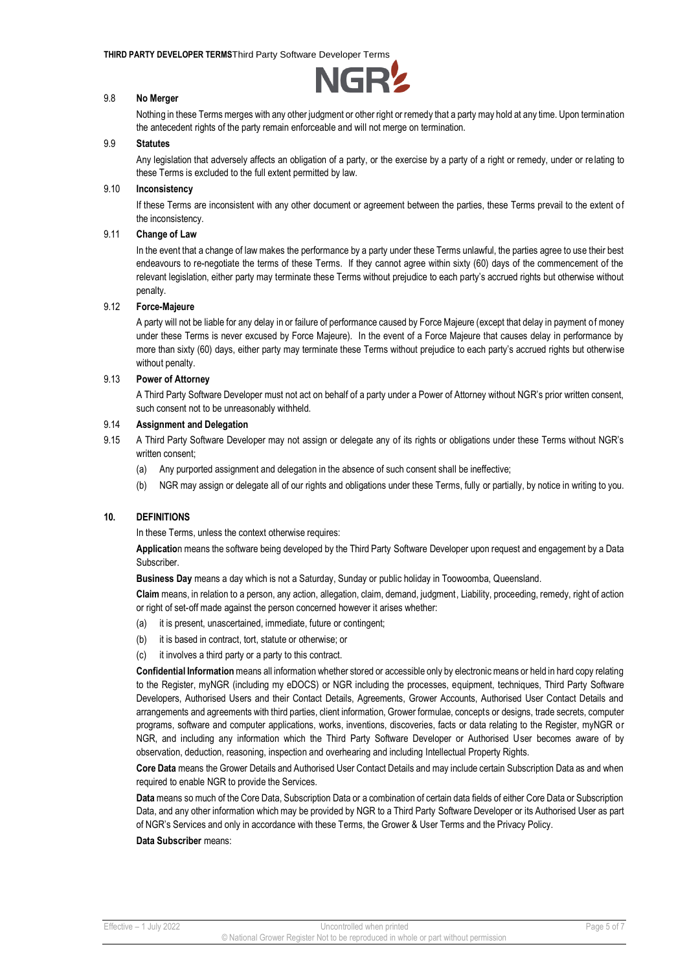

# 9.8 **No Merger**

Nothing in these Terms merges with any other judgment or other right or remedy that a party may hold at any time. Upon termination the antecedent rights of the party remain enforceable and will not merge on termination.

### 9.9 **Statutes**

Any legislation that adversely affects an obligation of a party, or the exercise by a party of a right or remedy, under or relating to these Terms is excluded to the full extent permitted by law.

# 9.10 **Inconsistency**

If these Terms are inconsistent with any other document or agreement between the parties, these Terms prevail to the extent of the inconsistency.

# 9.11 **Change of Law**

In the event that a change of law makes the performance by a party under these Terms unlawful, the parties agree to use their best endeavours to re-negotiate the terms of these Terms. If they cannot agree within sixty (60) days of the commencement of the relevant legislation, either party may terminate these Terms without prejudice to each party's accrued rights but otherwise without penalty.

### 9.12 **Force-Majeure**

A party will not be liable for any delay in or failure of performance caused by Force Majeure (except that delay in payment of money under these Terms is never excused by Force Majeure). In the event of a Force Majeure that causes delay in performance by more than sixty (60) days, either party may terminate these Terms without prejudice to each party's accrued rights but otherwise without penalty.

### 9.13 **Power of Attorney**

A Third Party Software Developer must not act on behalf of a party under a Power of Attorney without NGR's prior written consent, such consent not to be unreasonably withheld.

# 9.14 **Assignment and Delegation**

9.15 A Third Party Software Developer may not assign or delegate any of its rights or obligations under these Terms without NGR's written consent:

- (a) Any purported assignment and delegation in the absence of such consent shall be ineffective;
- (b) NGR may assign or delegate all of our rights and obligations under these Terms, fully or partially, by notice in writing to you.

### **10. DEFINITIONS**

In these Terms, unless the context otherwise requires:

**Applicatio**n means the software being developed by the Third Party Software Developer upon request and engagement by a Data Subscriber.

**Business Day** means a day which is not a Saturday, Sunday or public holiday in Toowoomba, Queensland.

**Claim** means, in relation to a person, any action, allegation, claim, demand, judgment, Liability, proceeding, remedy, right of action or right of set-off made against the person concerned however it arises whether:

- (a) it is present, unascertained, immediate, future or contingent;
- (b) it is based in contract, tort, statute or otherwise; or
- (c) it involves a third party or a party to this contract.

**Confidential Information** means all information whether stored or accessible only by electronic means or held in hard copy relating to the Register, myNGR (including my eDOCS) or NGR including the processes, equipment, techniques, Third Party Software Developers, Authorised Users and their Contact Details, Agreements, Grower Accounts, Authorised User Contact Details and arrangements and agreements with third parties, client information, Grower formulae, concepts or designs, trade secrets, computer programs, software and computer applications, works, inventions, discoveries, facts or data relating to the Register, myNGR or NGR, and including any information which the Third Party Software Developer or Authorised User becomes aware of by observation, deduction, reasoning, inspection and overhearing and including Intellectual Property Rights.

**Core Data** means the Grower Details and Authorised User Contact Details and may include certain Subscription Data as and when required to enable NGR to provide the Services.

**Data** means so much of the Core Data, Subscription Data or a combination of certain data fields of either Core Data or Subscription Data, and any other information which may be provided by NGR to a Third Party Software Developer or its Authorised User as part of NGR's Services and only in accordance with these Terms, the Grower & User Terms and the Privacy Policy.

#### **Data Subscriber** means: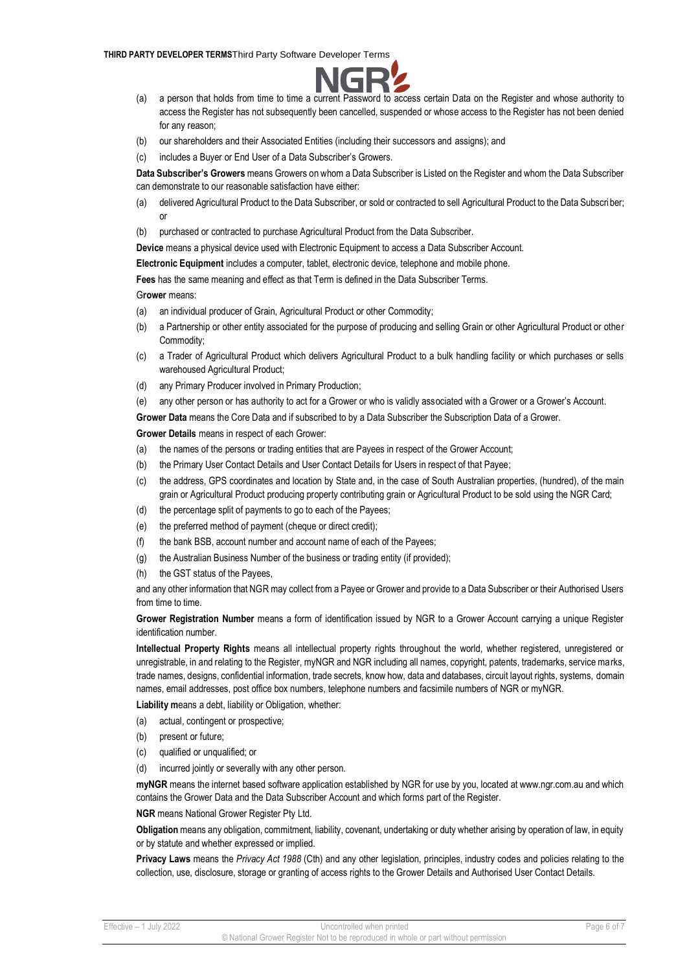

- (a) a person that holds from time to time a current Password to access certain Data on the Register and whose authority to access the Register has not subsequently been cancelled, suspended or whose access to the Register has not been denied for any reason;
- (b) our shareholders and their Associated Entities (including their successors and assigns); and
- (c) includes a Buyer or End User of a Data Subscriber's Growers.

**Data Subscriber's Growers** means Growers on whom a Data Subscriber is Listed on the Register and whom the Data Subscriber can demonstrate to our reasonable satisfaction have either:

- (a) delivered Agricultural Product to the Data Subscriber, or sold or contracted to sell Agricultural Product to the Data Subscriber; or
- (b) purchased or contracted to purchase Agricultural Product from the Data Subscriber.

**Device** means a physical device used with Electronic Equipment to access a Data Subscriber Account.

**Electronic Equipment** includes a computer, tablet, electronic device, telephone and mobile phone.

**Fees** has the same meaning and effect as that Term is defined in the Data Subscriber Terms.

G**rower** means:

- (a) an individual producer of Grain, Agricultural Product or other Commodity;
- (b) a Partnership or other entity associated for the purpose of producing and selling Grain or other Agricultural Product or other Commodity;
- (c) a Trader of Agricultural Product which delivers Agricultural Product to a bulk handling facility or which purchases or sells warehoused Agricultural Product;
- (d) any Primary Producer involved in Primary Production;
- (e) any other person or has authority to act for a Grower or who is validly associated with a Grower or a Grower's Account.

**Grower Data** means the Core Data and if subscribed to by a Data Subscriber the Subscription Data of a Grower.

## **Grower Details** means in respect of each Grower:

- (a) the names of the persons or trading entities that are Payees in respect of the Grower Account;
- (b) the Primary User Contact Details and User Contact Details for Users in respect of that Payee;
- (c) the address, GPS coordinates and location by State and, in the case of South Australian properties, (hundred), of the main grain or Agricultural Product producing property contributing grain or Agricultural Product to be sold using the NGR Card;
- (d) the percentage split of payments to go to each of the Payees;
- (e) the preferred method of payment (cheque or direct credit);
- (f) the bank BSB, account number and account name of each of the Payees;
- (g) the Australian Business Number of the business or trading entity (if provided);
- (h) the GST status of the Payees,

and any other information that NGR may collect from a Payee or Grower and provide to a Data Subscriber or their Authorised Users from time to time.

**Grower Registration Number** means a form of identification issued by NGR to a Grower Account carrying a unique Register identification number.

**Intellectual Property Rights** means all intellectual property rights throughout the world, whether registered, unregistered or unregistrable, in and relating to the Register, myNGR and NGR including all names, copyright, patents, trademarks, service marks, trade names, designs, confidential information, trade secrets, know how, data and databases, circuit layout rights, systems, domain names, email addresses, post office box numbers, telephone numbers and facsimile numbers of NGR or myNGR.

**Liability m**eans a debt, liability or Obligation, whether:

- (a) actual, contingent or prospective;
- (b) present or future;
- (c) qualified or unqualified; or
- (d) incurred jointly or severally with any other person.

**myNGR** means the internet based software application established by NGR for use by you, located at www.ngr.com.au and which contains the Grower Data and the Data Subscriber Account and which forms part of the Register.

**NGR** means National Grower Register Pty Ltd.

**Obligation** means any obligation, commitment, liability, covenant, undertaking or duty whether arising by operation of law, in equity or by statute and whether expressed or implied.

**Privacy Laws** means the *Privacy Act 1988* (Cth) and any other legislation, principles, industry codes and policies relating to the collection, use, disclosure, storage or granting of access rights to the Grower Details and Authorised User Contact Details.